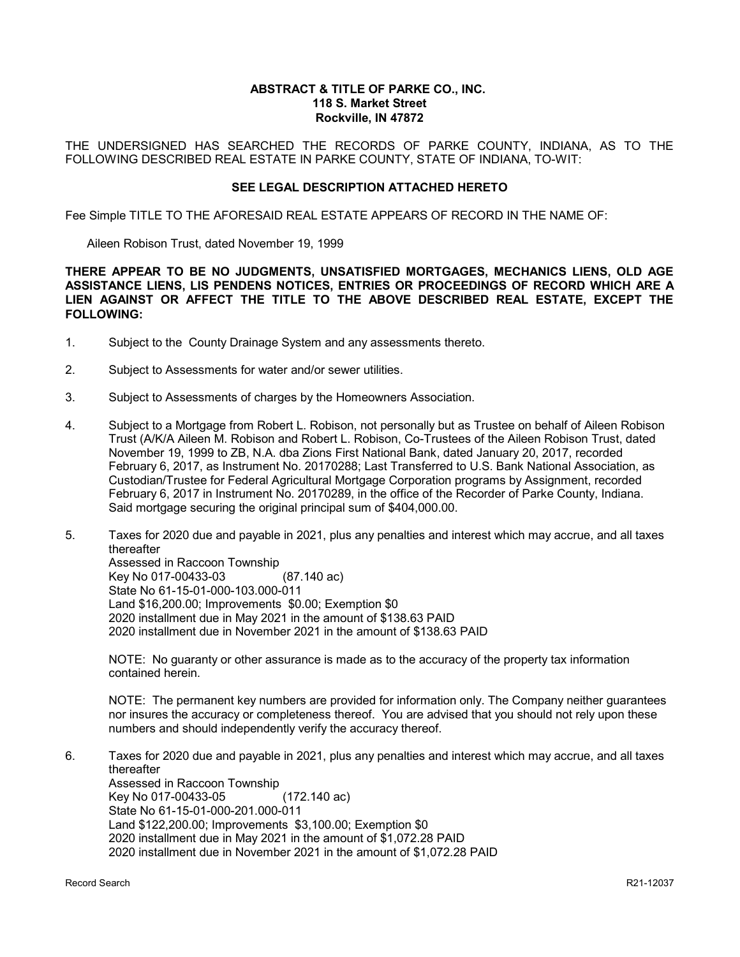#### **ABSTRACT & TITLE OF PARKE CO., INC. 118 S. Market Street Rockville, IN 47872**

THE UNDERSIGNED HAS SEARCHED THE RECORDS OF PARKE COUNTY, INDIANA, AS TO THE FOLLOWING DESCRIBED REAL ESTATE IN PARKE COUNTY, STATE OF INDIANA, TO-WIT:

#### **SEE LEGAL DESCRIPTION ATTACHED HERETO**

Fee Simple TITLE TO THE AFORESAID REAL ESTATE APPEARS OF RECORD IN THE NAME OF:

Aileen Robison Trust, dated November 19, 1999

**THERE APPEAR TO BE NO JUDGMENTS, UNSATISFIED MORTGAGES, MECHANICS LIENS, OLD AGE ASSISTANCE LIENS, LIS PENDENS NOTICES, ENTRIES OR PROCEEDINGS OF RECORD WHICH ARE A LIEN AGAINST OR AFFECT THE TITLE TO THE ABOVE DESCRIBED REAL ESTATE, EXCEPT THE FOLLOWING:**

- 1. Subject to the County Drainage System and any assessments thereto.
- 2. Subject to Assessments for water and/or sewer utilities.
- 3. Subject to Assessments of charges by the Homeowners Association.
- 4. Subject to a Mortgage from Robert L. Robison, not personally but as Trustee on behalf of Aileen Robison Trust (A/K/A Aileen M. Robison and Robert L. Robison, Co-Trustees of the Aileen Robison Trust, dated November 19, 1999 to ZB, N.A. dba Zions First National Bank, dated January 20, 2017, recorded February 6, 2017, as Instrument No. 20170288; Last Transferred to U.S. Bank National Association, as Custodian/Trustee for Federal Agricultural Mortgage Corporation programs by Assignment, recorded February 6, 2017 in Instrument No. 20170289, in the office of the Recorder of Parke County, Indiana. Said mortgage securing the original principal sum of \$404,000.00.
- 5. Taxes for 2020 due and payable in 2021, plus any penalties and interest which may accrue, and all taxes thereafter Assessed in Raccoon Township Key No 017-00433-03 (87.140 ac) State No 61-15-01-000-103.000-011 Land \$16,200.00; Improvements \$0.00; Exemption \$0 2020 installment due in May 2021 in the amount of \$138.63 PAID 2020 installment due in November 2021 in the amount of \$138.63 PAID

NOTE: No guaranty or other assurance is made as to the accuracy of the property tax information contained herein.

NOTE: The permanent key numbers are provided for information only. The Company neither guarantees nor insures the accuracy or completeness thereof. You are advised that you should not rely upon these numbers and should independently verify the accuracy thereof.

6. Taxes for 2020 due and payable in 2021, plus any penalties and interest which may accrue, and all taxes thereafter Assessed in Raccoon Township Key No 017-00433-05 (172.140 ac) State No 61-15-01-000-201.000-011 Land \$122,200.00; Improvements \$3,100.00; Exemption \$0 2020 installment due in May 2021 in the amount of \$1,072.28 PAID 2020 installment due in November 2021 in the amount of \$1,072.28 PAID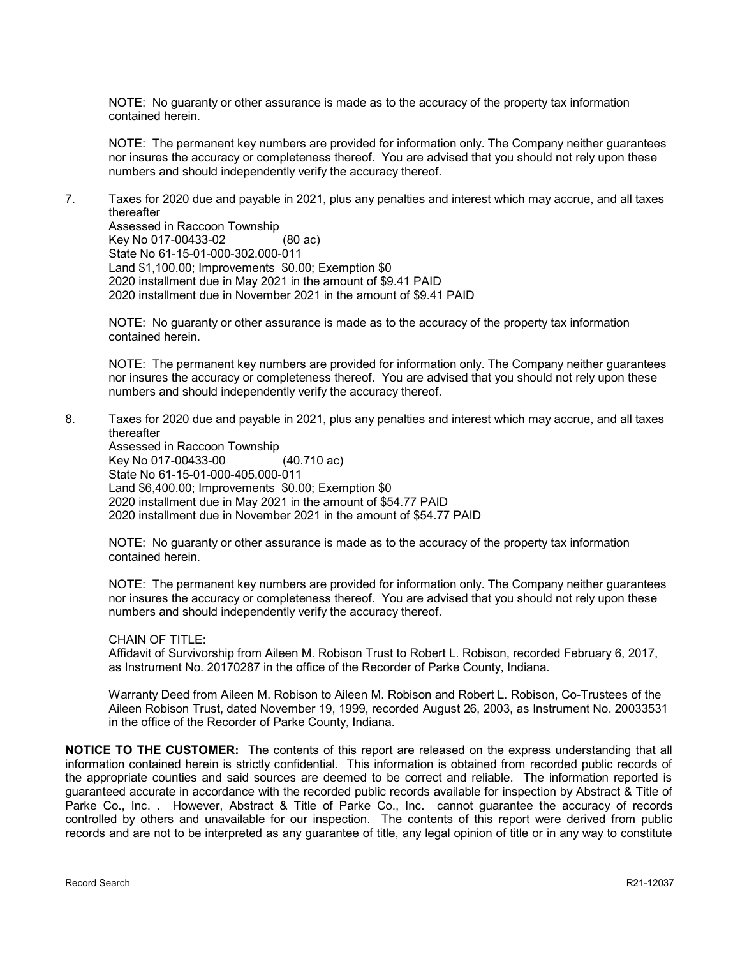NOTE: No guaranty or other assurance is made as to the accuracy of the property tax information contained herein.

NOTE: The permanent key numbers are provided for information only. The Company neither guarantees nor insures the accuracy or completeness thereof. You are advised that you should not rely upon these numbers and should independently verify the accuracy thereof.

7. Taxes for 2020 due and payable in 2021, plus any penalties and interest which may accrue, and all taxes thereafter

Assessed in Raccoon Township Key No 017-00433-02 (80 ac) State No 61-15-01-000-302.000-011 Land \$1,100.00; Improvements \$0.00; Exemption \$0 2020 installment due in May 2021 in the amount of \$9.41 PAID 2020 installment due in November 2021 in the amount of \$9.41 PAID

NOTE: No guaranty or other assurance is made as to the accuracy of the property tax information contained herein.

NOTE: The permanent key numbers are provided for information only. The Company neither guarantees nor insures the accuracy or completeness thereof. You are advised that you should not rely upon these numbers and should independently verify the accuracy thereof.

8. Taxes for 2020 due and payable in 2021, plus any penalties and interest which may accrue, and all taxes thereafter

Assessed in Raccoon Township Key No 017-00433-00 (40.710 ac) State No 61-15-01-000-405.000-011 Land \$6,400.00; Improvements \$0.00; Exemption \$0 2020 installment due in May 2021 in the amount of \$54.77 PAID 2020 installment due in November 2021 in the amount of \$54.77 PAID

NOTE: No guaranty or other assurance is made as to the accuracy of the property tax information contained herein.

NOTE: The permanent key numbers are provided for information only. The Company neither guarantees nor insures the accuracy or completeness thereof. You are advised that you should not rely upon these numbers and should independently verify the accuracy thereof.

#### CHAIN OF TITLE:

Affidavit of Survivorship from Aileen M. Robison Trust to Robert L. Robison, recorded February 6, 2017, as Instrument No. 20170287 in the office of the Recorder of Parke County, Indiana.

Warranty Deed from Aileen M. Robison to Aileen M. Robison and Robert L. Robison, Co-Trustees of the Aileen Robison Trust, dated November 19, 1999, recorded August 26, 2003, as Instrument No. 20033531 in the office of the Recorder of Parke County, Indiana.

**NOTICE TO THE CUSTOMER:** The contents of this report are released on the express understanding that all information contained herein is strictly confidential. This information is obtained from recorded public records of the appropriate counties and said sources are deemed to be correct and reliable. The information reported is guaranteed accurate in accordance with the recorded public records available for inspection by Abstract & Title of Parke Co., Inc. . However, Abstract & Title of Parke Co., Inc. cannot guarantee the accuracy of records controlled by others and unavailable for our inspection. The contents of this report were derived from public records and are not to be interpreted as any guarantee of title, any legal opinion of title or in any way to constitute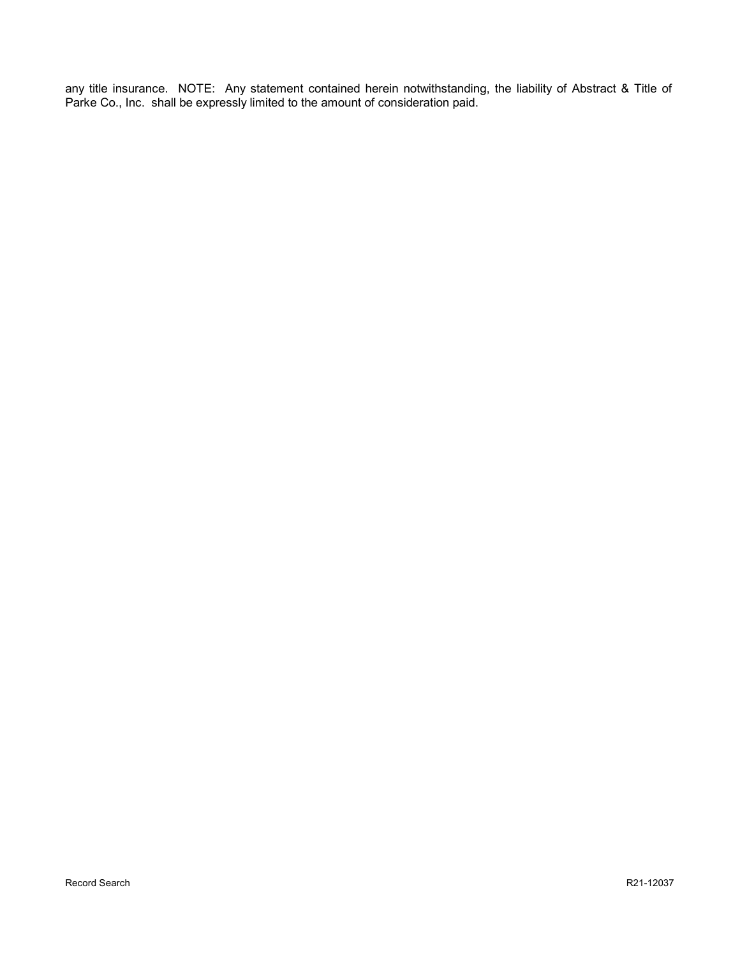any title insurance. NOTE: Any statement contained herein notwithstanding, the liability of Abstract & Title of Parke Co., Inc. shall be expressly limited to the amount of consideration paid.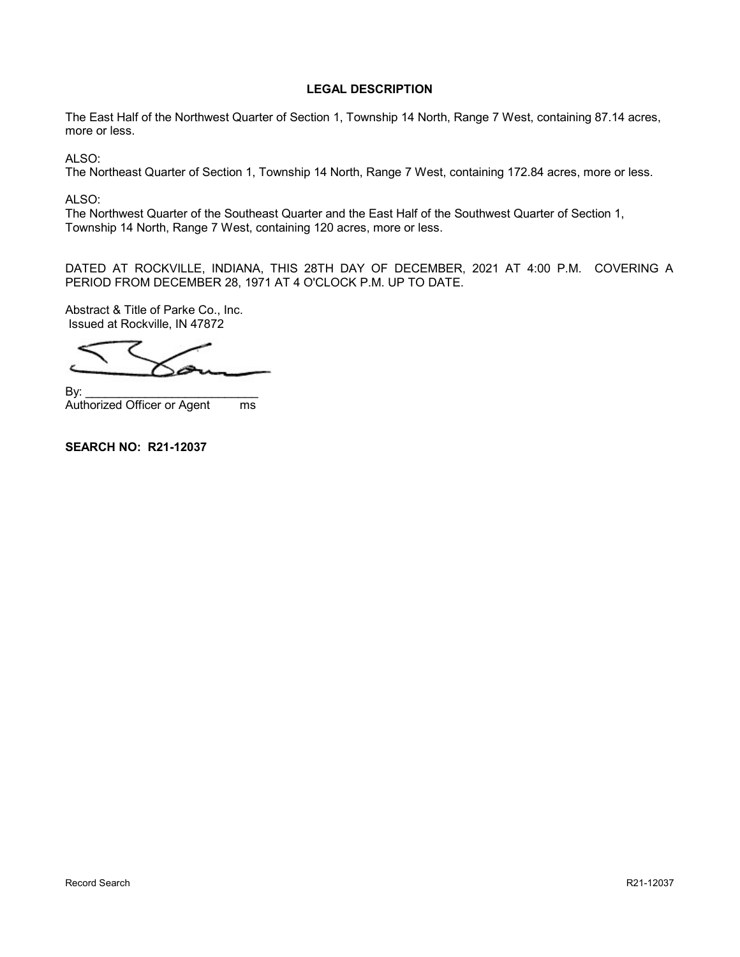### **LEGAL DESCRIPTION**

The East Half of the Northwest Quarter of Section 1, Township 14 North, Range 7 West, containing 87.14 acres, more or less.

ALSO:

The Northeast Quarter of Section 1, Township 14 North, Range 7 West, containing 172.84 acres, more or less.

ALSO:

The Northwest Quarter of the Southeast Quarter and the East Half of the Southwest Quarter of Section 1, Township 14 North, Range 7 West, containing 120 acres, more or less.

DATED AT ROCKVILLE, INDIANA, THIS 28TH DAY OF DECEMBER, 2021 AT 4:00 P.M. COVERING A PERIOD FROM DECEMBER 28, 1971 AT 4 O'CLOCK P.M. UP TO DATE.

Abstract & Title of Parke Co., Inc. Issued at Rockville, IN 47872

By: \_\_\_\_\_\_\_\_\_\_\_\_\_\_\_\_\_\_\_\_\_\_\_\_\_\_ Authorized Officer or Agent ms

**SEARCH NO: R21-12037**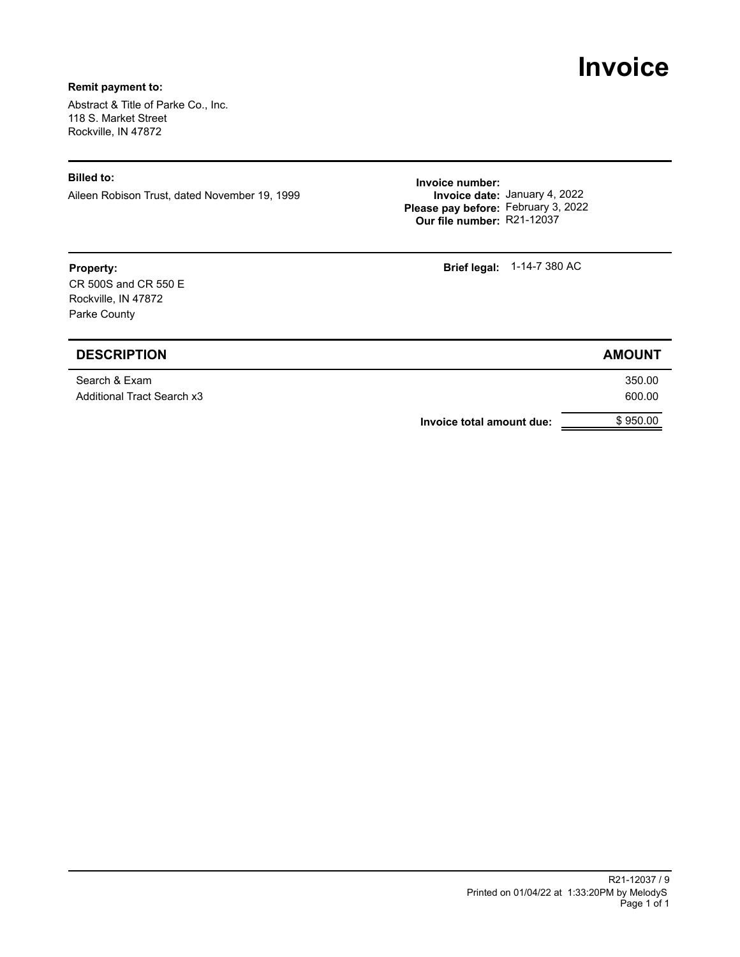# **Invoice**

#### **Remit payment to:**

Abstract & Title of Parke Co., Inc. 118 S. Market Street Rockville, IN 47872

Aileen Robison Trust, dated November 19, 1999

**Invoice number:**<br>Aileen Robison Trust, dated November 19, 1999 **Invoice number:**<br>**Invoice date:** January 4, 2022 **Our file number:** R21-12037 **Please pay before:** February 3, 2022

**Property: Brief legal:**  $1-14-7$  380 AC

| <b>DESCRIPTION</b>                          | <b>AMOUNT</b>    |
|---------------------------------------------|------------------|
| Search & Exam<br>Additional Tract Search x3 | 350.00<br>600.00 |
| Invoice total amount due:                   | \$950.00         |

#### Printed on 01/04/22 at 1:33:20PM by MelodyS R21-12037 / 9 Page 1 of 1

CR 500S and CR 550 E Rockville, IN 47872 Parke County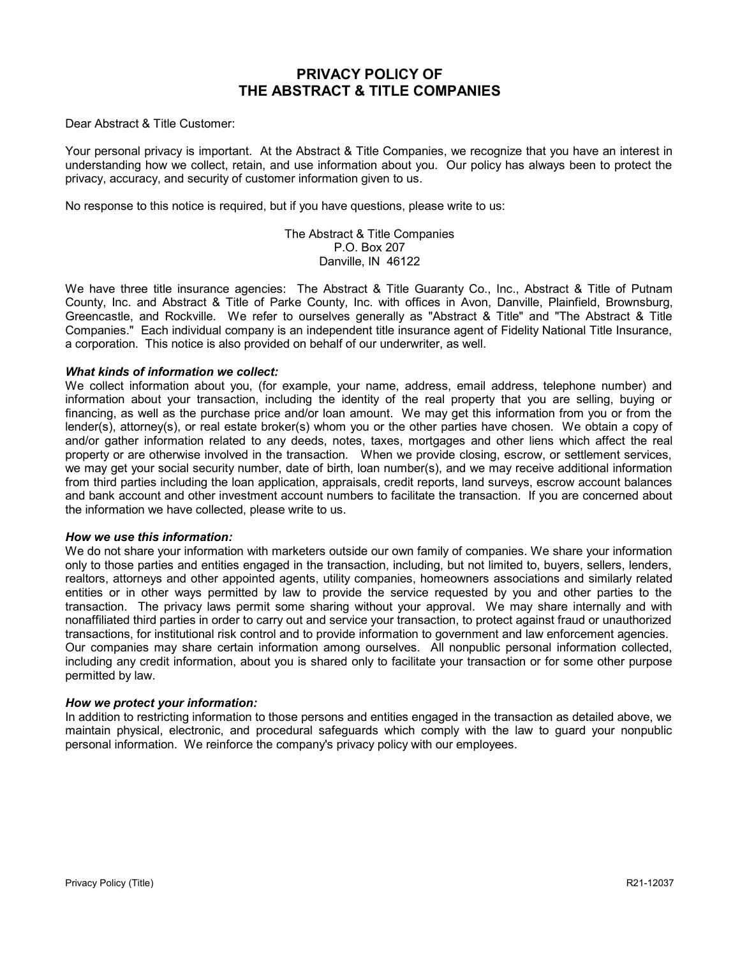# **PRIVACY POLICY OF THE ABSTRACT & TITLE COMPANIES**

Dear Abstract & Title Customer:

Your personal privacy is important. At the Abstract & Title Companies, we recognize that you have an interest in understanding how we collect, retain, and use information about you. Our policy has always been to protect the privacy, accuracy, and security of customer information given to us.

No response to this notice is required, but if you have questions, please write to us:

The Abstract & Title Companies P.O. Box 207 Danville, IN 46122

We have three title insurance agencies: The Abstract & Title Guaranty Co., Inc., Abstract & Title of Putnam County, Inc. and Abstract & Title of Parke County, Inc. with offices in Avon, Danville, Plainfield, Brownsburg, Greencastle, and Rockville. We refer to ourselves generally as "Abstract & Title" and "The Abstract & Title Companies." Each individual company is an independent title insurance agent of Fidelity National Title Insurance, a corporation. This notice is also provided on behalf of our underwriter, as well.

#### *What kinds of information we collect:*

We collect information about you, (for example, your name, address, email address, telephone number) and information about your transaction, including the identity of the real property that you are selling, buying or financing, as well as the purchase price and/or loan amount. We may get this information from you or from the lender(s), attorney(s), or real estate broker(s) whom you or the other parties have chosen. We obtain a copy of and/or gather information related to any deeds, notes, taxes, mortgages and other liens which affect the real property or are otherwise involved in the transaction. When we provide closing, escrow, or settlement services, we may get your social security number, date of birth, loan number(s), and we may receive additional information from third parties including the loan application, appraisals, credit reports, land surveys, escrow account balances and bank account and other investment account numbers to facilitate the transaction. If you are concerned about the information we have collected, please write to us.

#### *How we use this information:*

We do not share your information with marketers outside our own family of companies. We share your information only to those parties and entities engaged in the transaction, including, but not limited to, buyers, sellers, lenders, realtors, attorneys and other appointed agents, utility companies, homeowners associations and similarly related entities or in other ways permitted by law to provide the service requested by you and other parties to the transaction. The privacy laws permit some sharing without your approval. We may share internally and with nonaffiliated third parties in order to carry out and service your transaction, to protect against fraud or unauthorized transactions, for institutional risk control and to provide information to government and law enforcement agencies. Our companies may share certain information among ourselves. All nonpublic personal information collected, including any credit information, about you is shared only to facilitate your transaction or for some other purpose permitted by law.

#### *How we protect your information:*

In addition to restricting information to those persons and entities engaged in the transaction as detailed above, we maintain physical, electronic, and procedural safeguards which comply with the law to guard your nonpublic personal information. We reinforce the company's privacy policy with our employees.